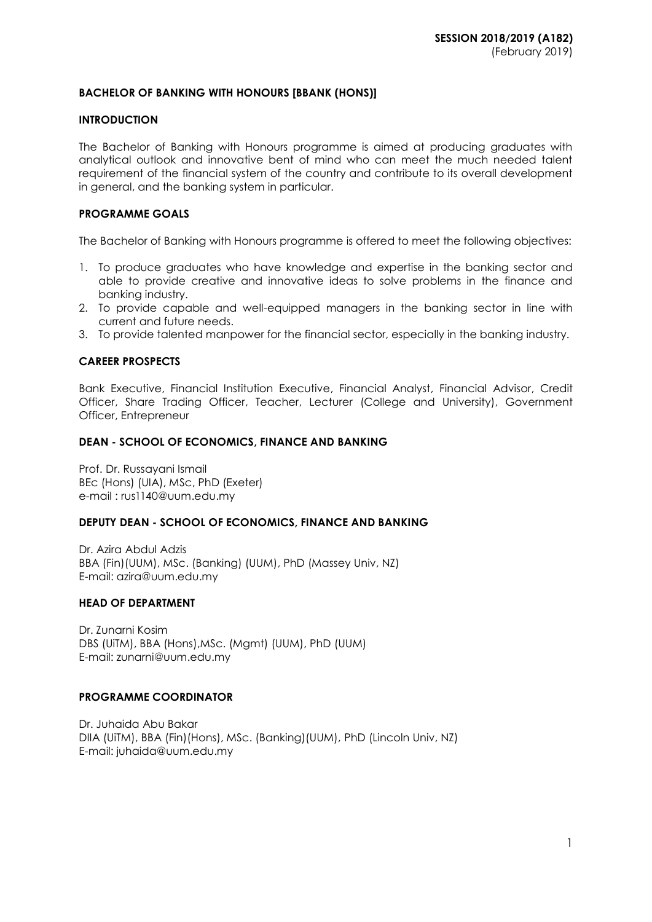# **BACHELOR OF BANKING WITH HONOURS [BBANK (HONS)]**

# **INTRODUCTION**

The Bachelor of Banking with Honours programme is aimed at producing graduates with analytical outlook and innovative bent of mind who can meet the much needed talent requirement of the financial system of the country and contribute to its overall development in general, and the banking system in particular.

# **PROGRAMME GOALS**

The Bachelor of Banking with Honours programme is offered to meet the following objectives:

- 1. To produce graduates who have knowledge and expertise in the banking sector and able to provide creative and innovative ideas to solve problems in the finance and banking industry.
- 2. To provide capable and well-equipped managers in the banking sector in line with current and future needs.
- 3. To provide talented manpower for the financial sector, especially in the banking industry.

# **CAREER PROSPECTS**

Bank Executive, Financial Institution Executive, Financial Analyst, Financial Advisor, Credit Officer, Share Trading Officer, Teacher, Lecturer (College and University), Government Officer, Entrepreneur

#### **DEAN - SCHOOL OF ECONOMICS, FINANCE AND BANKING**

Prof. Dr. Russayani Ismail BEc (Hons) (UIA), MSc, PhD (Exeter) e-mail : [rus1140@uum.edu.my](mailto:rus1140@uum.edu.my)

# **DEPUTY DEAN - SCHOOL OF ECONOMICS, FINANCE AND BANKING**

Dr. Azira Abdul Adzis BBA (Fin)(UUM), MSc. (Banking) (UUM), PhD (Massey Univ, NZ) E-mail: azira@uum.edu.my

#### **HEAD OF DEPARTMENT**

Dr. Zunarni Kosim DBS (UiTM), BBA (Hons),MSc. (Mgmt) (UUM), PhD (UUM) E-mail: zunarni@uum.edu.my

#### **PROGRAMME COORDINATOR**

Dr. Juhaida Abu Bakar DIIA (UiTM), BBA (Fin)(Hons), MSc. (Banking)(UUM), PhD (Lincoln Univ, NZ) E-mail: juhaida@uum.edu.my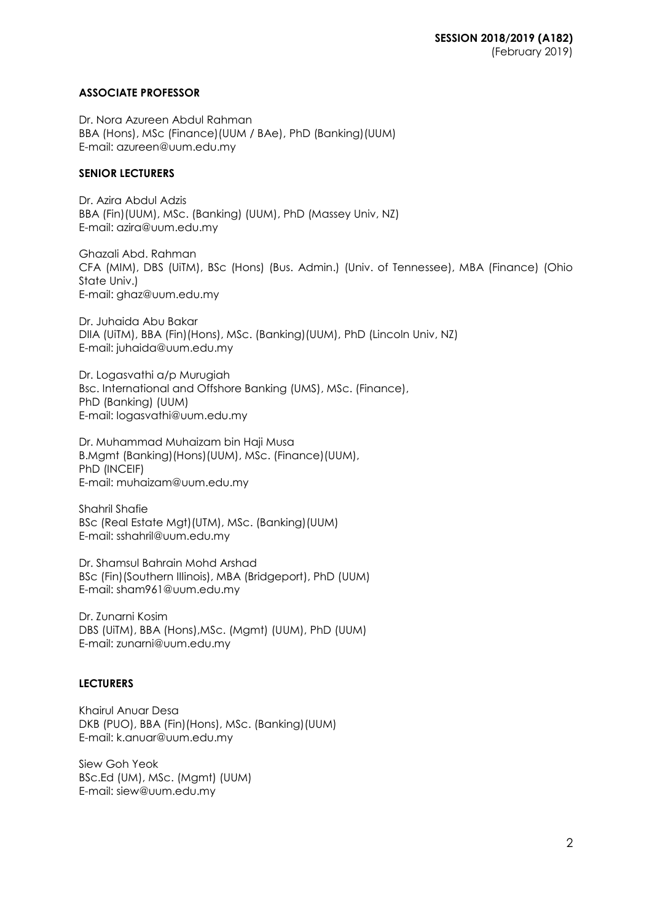# **ASSOCIATE PROFESSOR**

Dr. Nora Azureen Abdul Rahman BBA (Hons), MSc (Finance)(UUM / BAe), PhD (Banking)(UUM) E-mail: azureen@uum.edu.my

# **SENIOR LECTURERS**

Dr. Azira Abdul Adzis BBA (Fin)(UUM), MSc. (Banking) (UUM), PhD (Massey Univ, NZ) E-mail: azira@uum.edu.my

Ghazali Abd. Rahman CFA (MIM), DBS (UiTM), BSc (Hons) (Bus. Admin.) (Univ. of Tennessee), MBA (Finance) (Ohio State Univ.) E-mail: [ghaz@uum.edu.my](mailto:ghaz@uum.edu.my)

Dr. Juhaida Abu Bakar DIIA (UiTM), BBA (Fin)(Hons), MSc. (Banking)(UUM), PhD (Lincoln Univ, NZ) E-mail: juhaida@uum.edu.my

Dr. Logasvathi a/p Murugiah Bsc. International and Offshore Banking (UMS), MSc. (Finance), PhD (Banking) (UUM) E-mail: [logasvathi@uum.edu.my](mailto:logasvathi@uum.edu.my)

Dr. Muhammad Muhaizam bin Haji Musa B.Mgmt (Banking)(Hons)(UUM), MSc. (Finance)(UUM), PhD (INCEIF) E-mail: [muhaizam@uum.edu.my](https://uummail.uum.edu.my/OWA/redir.aspx?C=316134b06fae444581b2bc670d646f2b&URL=mailto%3amuhaizam%40uum.edu.my)

Shahril Shafie BSc (Real Estate Mgt)(UTM), MSc. (Banking)(UUM) E-mail: [sshahril@uum.edu.my](mailto:sshahril@uum.edu.my)

Dr. Shamsul Bahrain Mohd Arshad BSc (Fin)(Southern IIIinois), MBA (Bridgeport), PhD (UUM) E-mail: [sham961@uum.edu.my](mailto:sham961@uum.edu.my)

Dr. Zunarni Kosim DBS (UiTM), BBA (Hons),MSc. (Mgmt) (UUM), PhD (UUM) E-mail: zunarni@uum.edu.my

# **LECTURERS**

Khairul Anuar Desa DKB (PUO), BBA (Fin)(Hons), MSc. (Banking)(UUM) E-mail: k.anuar@uum.edu.my

Siew Goh Yeok BSc.Ed (UM), MSc. (Mgmt) (UUM) E-mail: [siew@uum.edu.my](mailto:siew@uum.edu.my)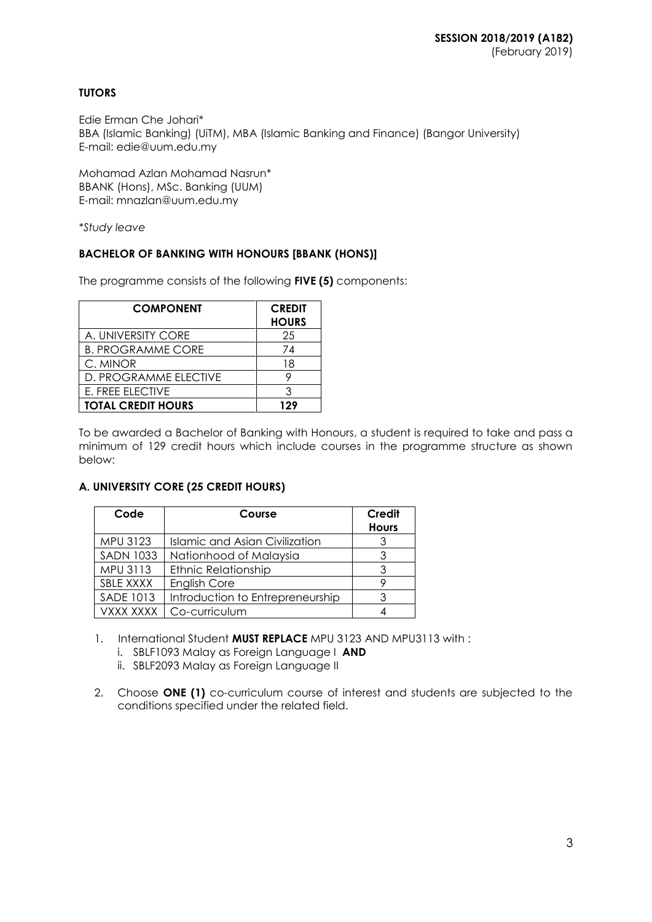# **TUTORS**

Edie Erman Che Johari\* BBA (Islamic Banking) (UiTM), MBA (Islamic Banking and Finance) (Bangor University) E-mail: edie@uum.edu.my

Mohamad Azlan Mohamad Nasrun\* BBANK (Hons), MSc. Banking (UUM) E-mail: mnazlan@uum.edu.my

*\*Study leave*

# **BACHELOR OF BANKING WITH HONOURS [BBANK (HONS)]**

The programme consists of the following **FIVE (5)** components:

| <b>COMPONENT</b>          | <b>CREDIT</b><br><b>HOURS</b> |
|---------------------------|-------------------------------|
| A. UNIVERSITY CORE        | 25                            |
| <b>B. PROGRAMME CORE</b>  | 74                            |
| C. MINOR                  | 18                            |
| D. PROGRAMME ELECTIVE     |                               |
| E. FREE ELECTIVE          | З                             |
| <b>TOTAL CREDIT HOURS</b> | 129                           |

To be awarded a Bachelor of Banking with Honours, a student is required to take and pass a minimum of 129 credit hours which include courses in the programme structure as shown below:

# **A. UNIVERSITY CORE (25 CREDIT HOURS)**

| Code             | Course                                | Credit<br><b>Hours</b> |
|------------------|---------------------------------------|------------------------|
| MPU 3123         | <b>Islamic and Asian Civilization</b> |                        |
| <b>SADN 1033</b> | Nationhood of Malaysia                | 3                      |
| MPU 3113         | <b>Ethnic Relationship</b>            |                        |
| SBLE XXXX        | English Core                          |                        |
| <b>SADE 1013</b> | Introduction to Entrepreneurship      |                        |
| VXXX XXXX        | Co-curriculum                         |                        |

1. International Student **MUST REPLACE** MPU 3123 AND MPU3113 with :

- i. SBLF1093 Malay as Foreign Language I **AND**
- ii. SBLF2093 Malay as Foreign Language II
- 2. Choose **ONE (1)** co-curriculum course of interest and students are subjected to the conditions specified under the related field.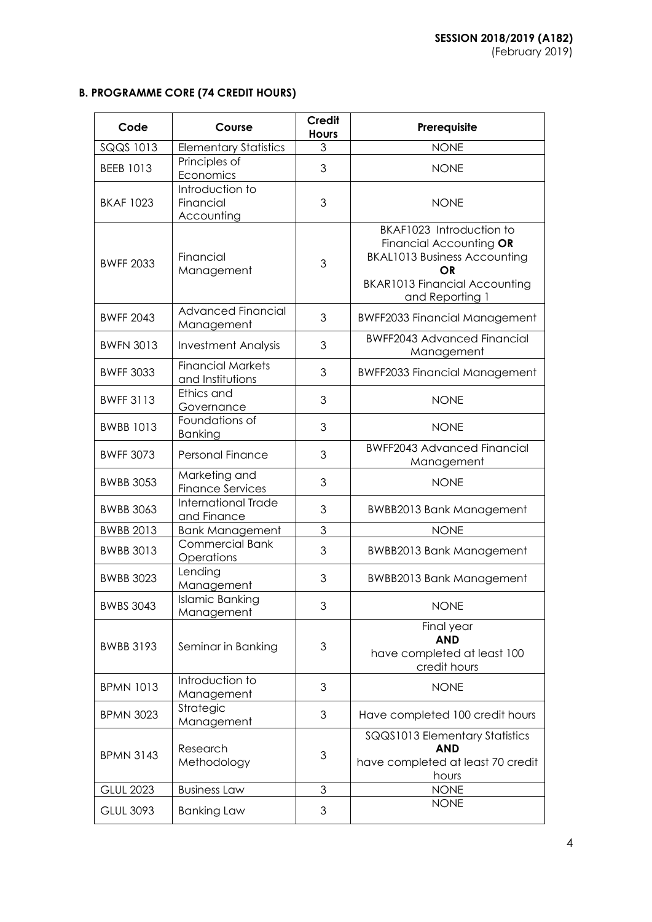# **B. PROGRAMME CORE (74 CREDIT HOURS)**

| Code             | Course                                       | <b>Credit</b><br><b>Hours</b> | Prerequisite                                                                                                                                                       |
|------------------|----------------------------------------------|-------------------------------|--------------------------------------------------------------------------------------------------------------------------------------------------------------------|
| SQQS 1013        | <b>Elementary Statistics</b>                 | $\mathfrak{S}$                | <b>NONE</b>                                                                                                                                                        |
| <b>BEEB 1013</b> | Principles of<br>Economics                   | 3                             | <b>NONE</b>                                                                                                                                                        |
| <b>BKAF 1023</b> | Introduction to<br>Financial<br>Accounting   | 3                             | <b>NONE</b>                                                                                                                                                        |
| <b>BWFF 2033</b> | Financial<br>Management                      | 3                             | BKAF1023 Introduction to<br>Financial Accounting OR<br><b>BKAL1013 Business Accounting</b><br><b>OR</b><br><b>BKAR1013 Financial Accounting</b><br>and Reporting 1 |
| <b>BWFF 2043</b> | <b>Advanced Financial</b><br>Management      | 3                             | <b>BWFF2033 Financial Management</b>                                                                                                                               |
| <b>BWFN 3013</b> | <b>Investment Analysis</b>                   | 3                             | <b>BWFF2043 Advanced Financial</b><br>Management                                                                                                                   |
| <b>BWFF 3033</b> | <b>Financial Markets</b><br>and Institutions | 3                             | <b>BWFF2033 Financial Management</b>                                                                                                                               |
| <b>BWFF 3113</b> | Ethics and<br>Governance                     | 3                             | <b>NONE</b>                                                                                                                                                        |
| <b>BWBB 1013</b> | Foundations of<br>Banking                    | 3                             | <b>NONE</b>                                                                                                                                                        |
| <b>BWFF 3073</b> | Personal Finance                             | 3                             | <b>BWFF2043 Advanced Financial</b><br>Management                                                                                                                   |
| <b>BWBB 3053</b> | Marketing and<br><b>Finance Services</b>     | 3                             | <b>NONE</b>                                                                                                                                                        |
| <b>BWBB 3063</b> | International Trade<br>and Finance           | 3                             | <b>BWBB2013 Bank Management</b>                                                                                                                                    |
| <b>BWBB 2013</b> | <b>Bank Management</b>                       | 3                             | <b>NONE</b>                                                                                                                                                        |
| <b>BWBB 3013</b> | <b>Commercial Bank</b><br>Operations         | 3                             | <b>BWBB2013 Bank Management</b>                                                                                                                                    |
| <b>BWBB 3023</b> | Lending<br>Management                        | 3                             | <b>BWBB2013 Bank Management</b>                                                                                                                                    |
| <b>BWBS 3043</b> | Islamic Banking<br>Management                | 3                             | <b>NONE</b>                                                                                                                                                        |
| <b>BWBB 3193</b> | Seminar in Banking                           | 3                             | Final year<br><b>AND</b><br>have completed at least 100<br>credit hours                                                                                            |
| <b>BPMN 1013</b> | Introduction to<br>Management                | 3                             | <b>NONE</b>                                                                                                                                                        |
| <b>BPMN 3023</b> | Strategic<br>Management                      | 3                             | Have completed 100 credit hours                                                                                                                                    |
| <b>BPMN 3143</b> | Research<br>Methodology                      | $\ensuremath{\mathsf{3}}$     | SQQS1013 Elementary Statistics<br><b>AND</b><br>have completed at least 70 credit<br>hours                                                                         |
| <b>GLUL 2023</b> | <b>Business Law</b>                          | 3                             | <b>NONE</b>                                                                                                                                                        |
| <b>GLUL 3093</b> | <b>Banking Law</b>                           | 3                             | <b>NONE</b>                                                                                                                                                        |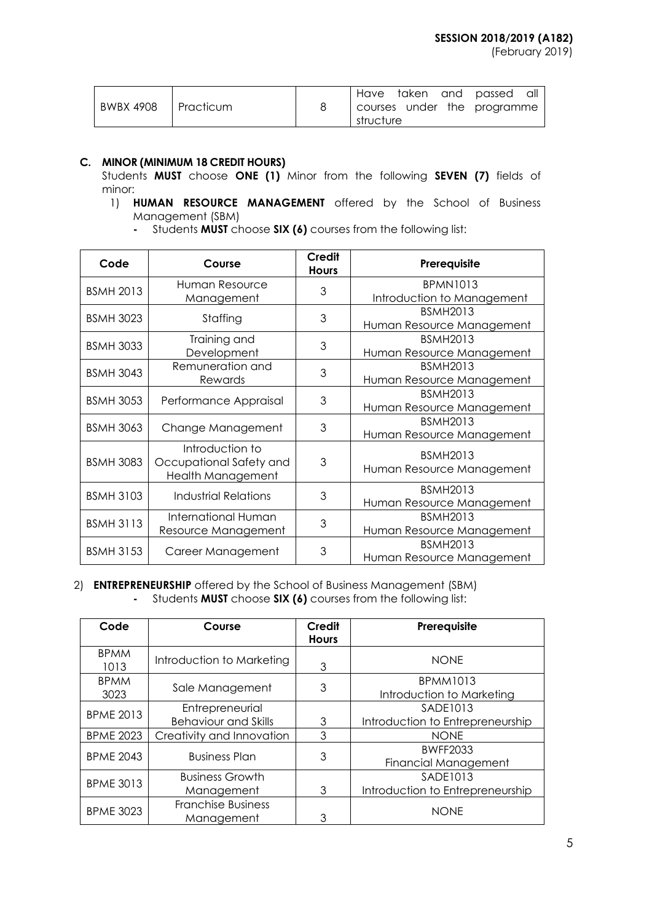|                       |  |           |  | Have taken and passed all   |  |
|-----------------------|--|-----------|--|-----------------------------|--|
| BWBX 4908   Practicum |  | structure |  | courses under the programme |  |

# **C. MINOR (MINIMUM 18 CREDIT HOURS)**

Students **MUST** choose **ONE (1)** Minor from the following **SEVEN (7)** fields of minor:

- 1) **HUMAN RESOURCE MANAGEMENT** offered by the School of Business Management (SBM)
	- **-** Students **MUST** choose **SIX (6)** courses from the following list:

| Code             | Course                                                          | Credit<br><b>Hours</b> | Prerequisite                                 |
|------------------|-----------------------------------------------------------------|------------------------|----------------------------------------------|
| <b>BSMH 2013</b> | Human Resource                                                  | 3                      | <b>BPMN1013</b>                              |
|                  | Management                                                      |                        | Introduction to Management                   |
| <b>BSMH 3023</b> | Staffing                                                        | 3                      | <b>BSMH2013</b>                              |
|                  |                                                                 |                        | Human Resource Management                    |
| <b>BSMH 3033</b> | Training and                                                    | 3                      | <b>BSMH2013</b>                              |
|                  | Development                                                     |                        | Human Resource Management                    |
| <b>BSMH 3043</b> | Remuneration and                                                | 3                      | <b>BSMH2013</b>                              |
|                  | Rewards                                                         |                        | Human Resource Management                    |
| <b>BSMH 3053</b> | Performance Appraisal                                           | 3                      | <b>BSMH2013</b>                              |
|                  |                                                                 |                        | Human Resource Management                    |
| <b>BSMH 3063</b> | Change Management                                               | 3                      | <b>BSMH2013</b>                              |
|                  |                                                                 |                        | Human Resource Management                    |
| <b>BSMH 3083</b> | Introduction to<br>Occupational Safety and<br>Health Management | 3                      | <b>BSMH2013</b><br>Human Resource Management |
| <b>BSMH 3103</b> | Industrial Relations                                            | 3                      | <b>BSMH2013</b><br>Human Resource Management |
|                  | International Human                                             | 3                      | <b>BSMH2013</b>                              |
| <b>BSMH 3113</b> | Resource Management                                             |                        | Human Resource Management                    |
|                  |                                                                 | 3                      | <b>BSMH2013</b>                              |
| <b>BSMH 3153</b> | Career Management                                               |                        | Human Resource Management                    |

# 2) **ENTREPRENEURSHIP** offered by the School of Business Management (SBM) **-** Students **MUST** choose **SIX (6)** courses from the following list:

| Code                | Course                                         | Credit<br><b>Hours</b> | Prerequisite                                   |
|---------------------|------------------------------------------------|------------------------|------------------------------------------------|
| <b>BPMM</b><br>1013 | Introduction to Marketing                      | 3                      | <b>NONE</b>                                    |
| <b>BPMM</b><br>3023 | Sale Management                                | 3                      | <b>BPMM1013</b><br>Introduction to Marketing   |
| <b>BPME 2013</b>    | Entrepreneurial<br><b>Behaviour and Skills</b> | 3                      | SADE1013<br>Introduction to Entrepreneurship   |
| <b>BPME 2023</b>    | Creativity and Innovation                      | 3                      | <b>NONE</b>                                    |
| <b>BPME 2043</b>    | <b>Business Plan</b>                           | 3                      | <b>BWFF2033</b><br><b>Financial Management</b> |
| <b>BPME 3013</b>    | <b>Business Growth</b><br>Management           | 3                      | SADE1013<br>Introduction to Entrepreneurship   |
| <b>BPME 3023</b>    | <b>Franchise Business</b><br>Management        | 3                      | <b>NONE</b>                                    |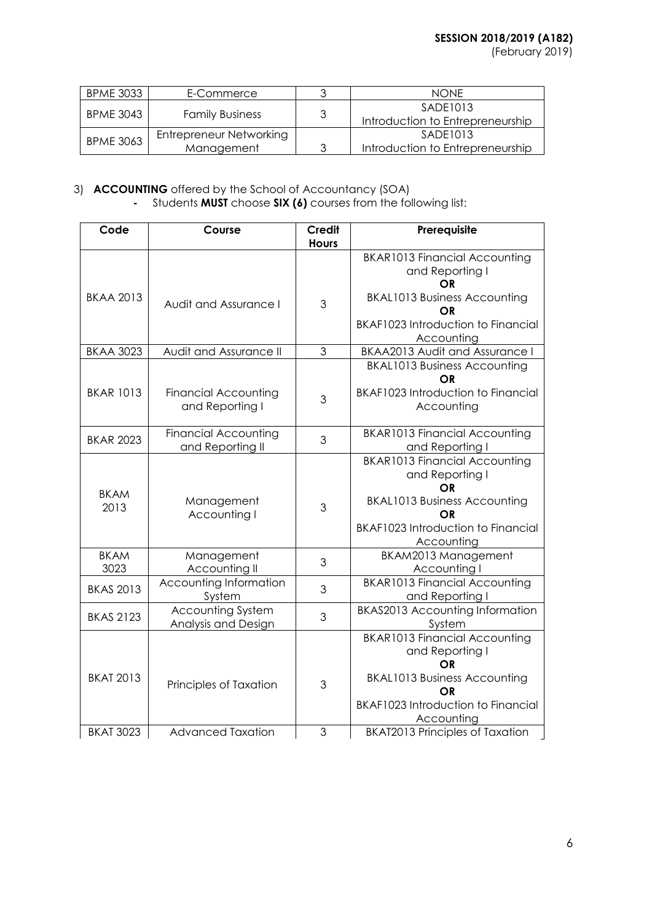| <b>BPME 3033</b>                           | E-Commerce              | <b>NONE</b>                      |
|--------------------------------------------|-------------------------|----------------------------------|
| <b>BPME 3043</b><br><b>Family Business</b> | SADE1013                |                                  |
|                                            |                         | Introduction to Entrepreneurship |
|                                            | Entrepreneur Networking | SADE1013                         |
| <b>BPME 3063</b>                           | Management              | Introduction to Entrepreneurship |

# 3) **ACCOUNTING** offered by the School of Accountancy (SOA)

# **-** Students **MUST** choose **SIX (6)** courses from the following list:

| Code                | Course                                          | <b>Credit</b><br><b>Hours</b> | Prerequisite                                                                                                                                                                        |
|---------------------|-------------------------------------------------|-------------------------------|-------------------------------------------------------------------------------------------------------------------------------------------------------------------------------------|
| <b>BKAA 2013</b>    |                                                 |                               | <b>BKAR1013 Financial Accounting</b><br>and Reporting I<br>ΟR<br><b>BKAL1013 Business Accounting</b>                                                                                |
|                     | Audit and Assurance I                           | 3                             | OR<br><b>BKAF1023 Introduction to Financial</b><br>Accounting                                                                                                                       |
| <b>BKAA 3023</b>    | Audit and Assurance II                          | 3                             | <b>BKAA2013 Audit and Assurance I</b>                                                                                                                                               |
| <b>BKAR 1013</b>    | <b>Financial Accounting</b><br>and Reporting I  | 3                             | <b>BKAL1013 Business Accounting</b><br><b>OR</b><br><b>BKAF1023 Introduction to Financial</b><br>Accounting                                                                         |
| <b>BKAR 2023</b>    | <b>Financial Accounting</b><br>and Reporting II | 3                             | <b>BKAR1013 Financial Accounting</b><br>and Reporting I                                                                                                                             |
| <b>BKAM</b><br>2013 | Management<br>Accounting I                      | 3                             | <b>BKAR1013 Financial Accounting</b><br>and Reporting I<br><b>OR</b><br><b>BKAL1013 Business Accounting</b><br>OR<br><b>BKAF1023 Introduction to Financial</b><br>Accounting        |
| <b>BKAM</b><br>3023 | Management<br>Accounting II                     | 3                             | BKAM2013 Management<br>Accounting I                                                                                                                                                 |
| <b>BKAS 2013</b>    | Accounting Information<br>System                | 3                             | <b>BKAR1013 Financial Accounting</b><br>and Reporting I                                                                                                                             |
| <b>BKAS 2123</b>    | <b>Accounting System</b><br>Analysis and Design | 3                             | <b>BKAS2013 Accounting Information</b><br>System                                                                                                                                    |
| <b>BKAT 2013</b>    | Principles of Taxation                          | 3                             | <b>BKAR1013 Financial Accounting</b><br>and Reporting I<br><b>OR</b><br><b>BKAL1013 Business Accounting</b><br><b>OR</b><br><b>BKAF1023 Introduction to Financial</b><br>Accounting |
| <b>BKAT 3023</b>    | <b>Advanced Taxation</b>                        | 3                             | <b>BKAT2013 Principles of Taxation</b>                                                                                                                                              |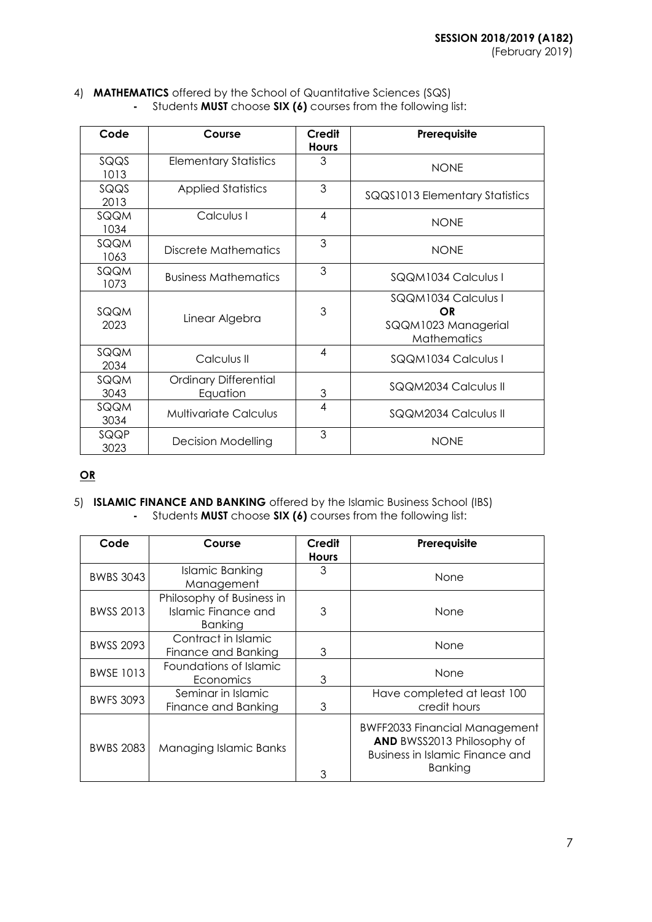4) **MATHEMATICS** offered by the School of Quantitative Sciences (SQS) **-** Students **MUST** choose **SIX (6)** courses from the following list:

| Code         | Course                                   | Credit<br><b>Hours</b> | Prerequisite                                                           |
|--------------|------------------------------------------|------------------------|------------------------------------------------------------------------|
| SQQS<br>1013 | <b>Elementary Statistics</b>             | 3                      | <b>NONE</b>                                                            |
| SQQS<br>2013 | <b>Applied Statistics</b>                | 3                      | SQQS1013 Elementary Statistics                                         |
| SQQM<br>1034 | Calculus I                               | $\overline{4}$         | <b>NONE</b>                                                            |
| SQQM<br>1063 | Discrete Mathematics                     | 3                      | <b>NONF</b>                                                            |
| SQQM<br>1073 | <b>Business Mathematics</b>              | 3                      | SQQM1034 Calculus I                                                    |
| SQQM<br>2023 | Linear Algebra                           | 3                      | SQQM1034 Calculus I<br>OR<br>SQQM1023 Managerial<br><b>Mathematics</b> |
| SQQM<br>2034 | Calculus II                              | 4                      | SQQM1034 Calculus I                                                    |
| SQQM<br>3043 | <b>Ordinary Differential</b><br>Equation | 3                      | SQQM2034 Calculus II                                                   |
| SQQM<br>3034 | <b>Multivariate Calculus</b>             | $\overline{4}$         | SQQM2034 Calculus II                                                   |
| SQQP<br>3023 | <b>Decision Modelling</b>                | 3                      | <b>NONE</b>                                                            |

# **OR**

5) **ISLAMIC FINANCE AND BANKING** offered by the Islamic Business School (IBS) **-** Students **MUST** choose **SIX (6)** courses from the following list:

| Code             | Course                                                             | Credit<br><b>Hours</b> | Prerequisite                                                                                                            |
|------------------|--------------------------------------------------------------------|------------------------|-------------------------------------------------------------------------------------------------------------------------|
| <b>BWBS 3043</b> | Islamic Banking<br>Management                                      | 3                      | None                                                                                                                    |
| BWSS 2013        | Philosophy of Business in<br><b>Islamic Finance and</b><br>Banking | 3                      | None                                                                                                                    |
| <b>BWSS 2093</b> | Contract in Islamic<br>Finance and Banking                         | 3                      | None                                                                                                                    |
| <b>BWSE 1013</b> | Foundations of Islamic<br>Economics                                | 3                      | None                                                                                                                    |
| <b>BWFS 3093</b> | Seminar in Islamic<br>Finance and Banking                          | 3                      | Have completed at least 100<br>credit hours                                                                             |
| <b>BWBS 2083</b> | Managing Islamic Banks                                             | 3                      | <b>BWFF2033 Financial Management</b><br>AND BWSS2013 Philosophy of<br>Business in Islamic Finance and<br><b>Banking</b> |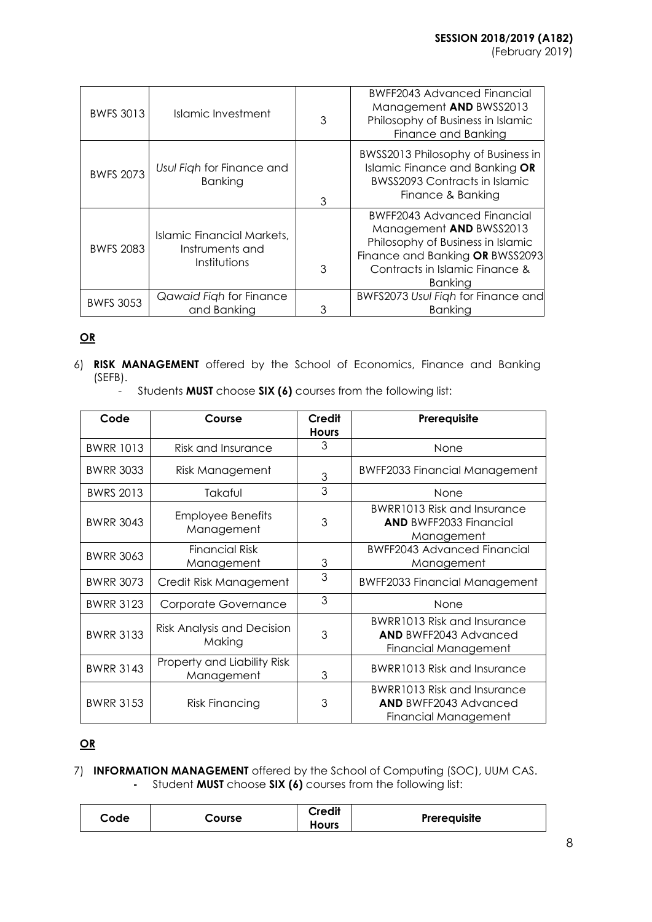| <b>BWFS 3013</b> | Islamic Investment                                            | 3 | <b>BWFF2043 Advanced Financial</b><br>Management AND BWSS2013<br>Philosophy of Business in Islamic<br>Finance and Banking                                                          |
|------------------|---------------------------------------------------------------|---|------------------------------------------------------------------------------------------------------------------------------------------------------------------------------------|
| <b>BWFS 2073</b> | Usul Figh for Finance and<br>Banking                          | 3 | BWSS2013 Philosophy of Business in<br>Islamic Finance and Banking OR<br><b>BWSS2093 Contracts in Islamic</b><br>Finance & Banking                                                  |
| <b>BWFS 2083</b> | Islamic Financial Markets,<br>Instruments and<br>Institutions | 3 | <b>BWFF2043 Advanced Financial</b><br>Management AND BWSS2013<br>Philosophy of Business in Islamic<br>Finance and Banking OR BWSS2093<br>Contracts in Islamic Finance &<br>Banking |
| <b>BWFS 3053</b> | Qawaid Figh for Finance<br>and Banking                        |   | BWFS2073 Usul Figh for Finance and<br>Banking                                                                                                                                      |

# **OR**

- 6) **RISK MANAGEMENT** offered by the School of Economics, Finance and Banking (SEFB).
	- Students **MUST** choose **SIX (6)** courses from the following list:

| Code             | Course                                    | Credit<br><b>Hours</b> | Prerequisite                                                                               |
|------------------|-------------------------------------------|------------------------|--------------------------------------------------------------------------------------------|
| <b>BWRR 1013</b> | Risk and Insurance                        | 3                      | None                                                                                       |
| <b>BWRR 3033</b> | Risk Management                           | 3                      | <b>BWFF2033 Financial Management</b>                                                       |
| <b>BWRS 2013</b> | Takaful                                   | 3                      | None                                                                                       |
| <b>BWRR 3043</b> | <b>Employee Benefits</b><br>Management    | 3                      | <b>BWRR1013 Risk and Insurance</b><br><b>AND BWFF2033 Financial</b><br>Management          |
| <b>BWRR 3063</b> | <b>Financial Risk</b><br>Management       | 3                      | <b>BWFF2043 Advanced Financial</b><br>Management                                           |
| <b>BWRR 3073</b> | Credit Risk Management                    | 3                      | <b>BWFF2033 Financial Management</b>                                                       |
| <b>BWRR 3123</b> | Corporate Governance                      | 3                      | None                                                                                       |
| <b>BWRR 3133</b> | Risk Analysis and Decision<br>Making      | 3                      | BWRR1013 Risk and Insurance<br><b>AND BWFF2043 Advanced</b><br><b>Financial Management</b> |
| <b>BWRR 3143</b> | Property and Liability Risk<br>Management | 3                      | BWRR1013 Risk and Insurance                                                                |
| <b>BWRR 3153</b> | <b>Risk Financing</b>                     | 3                      | <b>BWRR1013 Risk and Insurance</b><br><b>AND BWFF2043 Advanced</b><br>Financial Management |

# **OR**

7) **INFORMATION MANAGEMENT** offered by the School of Computing (SOC), UUM CAS. **-** Student **MUST** choose **SIX (6)** courses from the following list:

|  | Code | Course | Credit<br><b>Hours</b> | Prerequisite |
|--|------|--------|------------------------|--------------|
|--|------|--------|------------------------|--------------|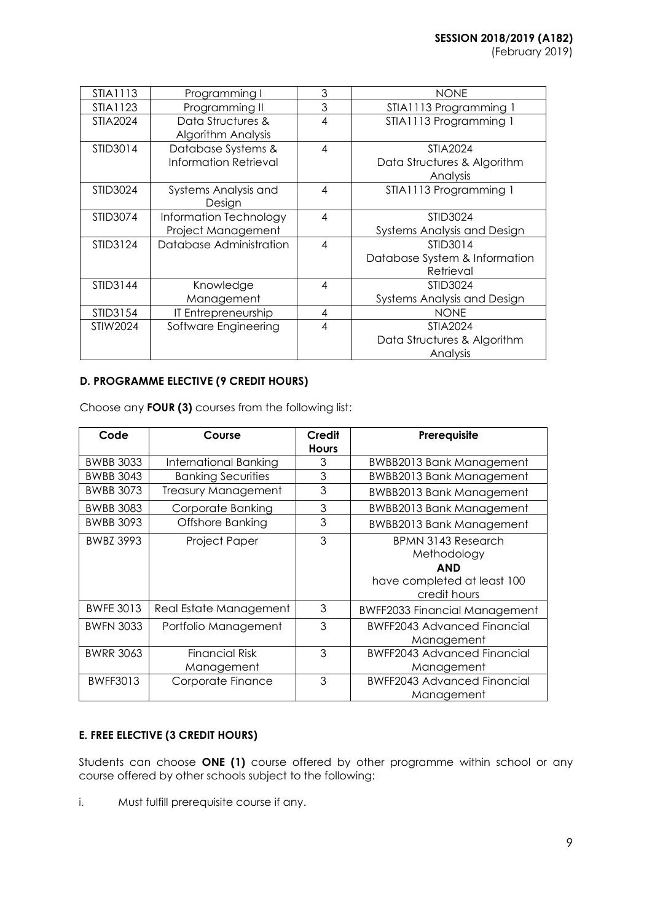| STIA1113        | Programming I                                      | 3 | <b>NONE</b>                                         |
|-----------------|----------------------------------------------------|---|-----------------------------------------------------|
| STIA1123        | Programming II                                     | 3 | STIA1113 Programming 1                              |
| <b>STIA2024</b> | Data Structures &<br><b>Algorithm Analysis</b>     | 4 | STIA1113 Programming 1                              |
| STID3014        | Database Systems &<br><b>Information Retrieval</b> | 4 | STIA2024<br>Data Structures & Algorithm<br>Analysis |
| STID3024        | Systems Analysis and<br>Design                     | 4 | STIA1113 Programming 1                              |
| STID3074        | Information Technology                             | 4 | <b>STID3024</b>                                     |
|                 | Project Management                                 |   | Systems Analysis and Design                         |
| STID3124        | Database Administration                            | 4 | STID3014                                            |
|                 |                                                    |   | Database System & Information                       |
| STID3144        |                                                    | 4 | Retrieval                                           |
|                 | Knowledge<br>Management                            |   | <b>STID3024</b><br>Systems Analysis and Design      |
| STID3154        | IT Entrepreneurship                                | 4 | <b>NONE</b>                                         |
| STIW2024        | Software Engineering                               | 4 | <b>STIA2024</b>                                     |
|                 |                                                    |   | Data Structures & Algorithm                         |
|                 |                                                    |   | Analysis                                            |

# **D. PROGRAMME ELECTIVE (9 CREDIT HOURS)**

Choose any **FOUR (3)** courses from the following list:

| Code             | Course                     | Credit<br><b>Hours</b> | Prerequisite                         |
|------------------|----------------------------|------------------------|--------------------------------------|
| <b>BWBB 3033</b> | International Banking      | 3                      | <b>BWBB2013 Bank Management</b>      |
| <b>BWBB 3043</b> | <b>Banking Securities</b>  | 3                      | <b>BWBB2013 Bank Management</b>      |
| <b>BWBB 3073</b> | <b>Treasury Management</b> | 3                      | <b>BWBB2013 Bank Management</b>      |
| <b>BWBB 3083</b> | Corporate Banking          | 3                      | <b>BWBB2013 Bank Management</b>      |
| <b>BWBB 3093</b> | Offshore Banking           | 3                      | <b>BWBB2013 Bank Management</b>      |
| <b>BWBZ 3993</b> | Project Paper              | 3                      | <b>BPMN 3143 Research</b>            |
|                  |                            |                        | Methodology                          |
|                  |                            |                        | <b>AND</b>                           |
|                  |                            |                        | have completed at least 100          |
|                  |                            |                        | credit hours                         |
| <b>BWFE 3013</b> | Real Estate Management     | 3                      | <b>BWFF2033 Financial Management</b> |
| <b>BWFN 3033</b> | Portfolio Management       | 3                      | <b>BWFF2043 Advanced Financial</b>   |
|                  |                            |                        | Management                           |
| <b>BWRR 3063</b> | <b>Financial Risk</b>      | 3                      | <b>BWFF2043 Advanced Financial</b>   |
|                  | Management                 |                        | Management                           |
| <b>BWFF3013</b>  | Corporate Finance          | 3                      | <b>BWFF2043 Advanced Financial</b>   |
|                  |                            |                        | Management                           |

# **E. FREE ELECTIVE (3 CREDIT HOURS)**

Students can choose **ONE (1)** course offered by other programme within school or any course offered by other schools subject to the following:

i. Must fulfill prerequisite course if any.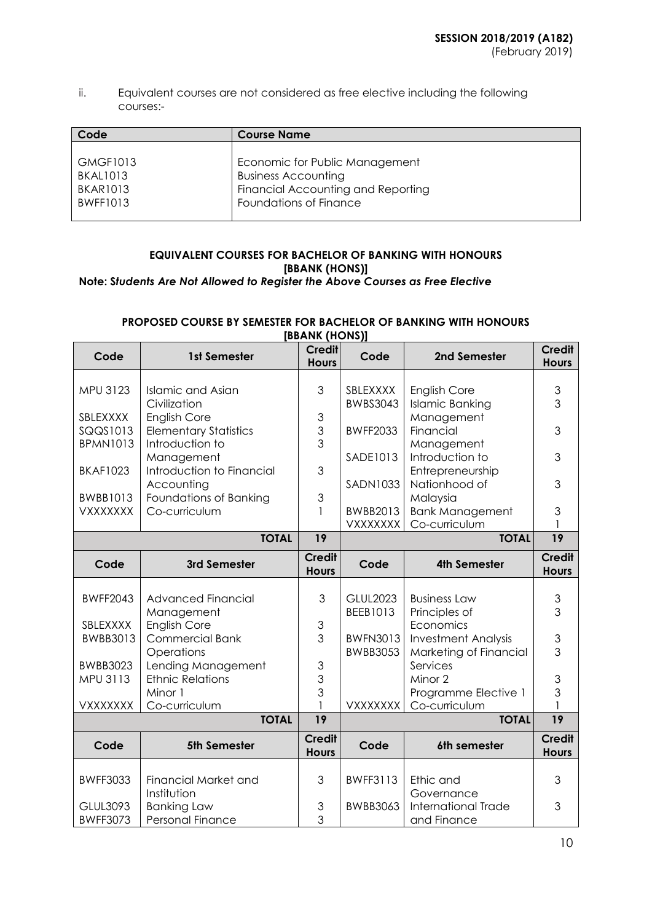ii. Equivalent courses are not considered as free elective including the following courses:-

| Code            | <b>Course Name</b>                 |
|-----------------|------------------------------------|
| <b>GMGF1013</b> | Economic for Public Management     |
| <b>BKAL1013</b> | <b>Business Accounting</b>         |
| <b>BKAR1013</b> | Financial Accounting and Reporting |
| <b>BWFF1013</b> | Foundations of Finance             |

# **EQUIVALENT COURSES FOR BACHELOR OF BANKING WITH HONOURS [BBANK (HONS)] Note: S***tudents Are Not Allowed to Register the Above Courses as Free Elective*

#### **PROPOSED COURSE BY SEMESTER FOR BACHELOR OF BANKING WITH HONOURS [BBANK (HONS)]**

|                 |                              | ונאוטוון האמש                 |                 |                            |                               |
|-----------------|------------------------------|-------------------------------|-----------------|----------------------------|-------------------------------|
| Code            | 1st Semester                 | <b>Credit</b><br><b>Hours</b> | Code            | 2nd Semester               | <b>Credit</b><br><b>Hours</b> |
|                 |                              |                               |                 |                            |                               |
| MPU 3123        | <b>Islamic and Asian</b>     | 3                             | SBLEXXXX        | English Core               | $\ensuremath{\mathsf{3}}$     |
|                 | Civilization                 |                               | <b>BWBS3043</b> | <b>Islamic Banking</b>     | $\overline{3}$                |
| SBLEXXXX        | English Core                 | $\ensuremath{\mathsf{3}}$     |                 | Management                 |                               |
| SQQS1013        | <b>Elementary Statistics</b> | $\frac{3}{3}$                 | <b>BWFF2033</b> | Financial                  | 3                             |
| <b>BPMN1013</b> | Introduction to              |                               |                 | Management                 |                               |
|                 | Management                   |                               | SADE1013        | Introduction to            | 3                             |
| <b>BKAF1023</b> | Introduction to Financial    | 3                             |                 | Entrepreneurship           |                               |
|                 | Accounting                   |                               | <b>SADN1033</b> | Nationhood of              | 3                             |
| <b>BWBB1013</b> | Foundations of Banking       | $\mathfrak{S}$                |                 | Malaysia                   |                               |
| <b>VXXXXXXX</b> | Co-curriculum                | 1                             | BWBB2013        | <b>Bank Management</b>     | 3                             |
|                 |                              |                               | <b>VXXXXXXX</b> | Co-curriculum              |                               |
|                 | <b>TOTAL</b>                 | 19                            |                 | <b>TOTAL</b>               | $\overline{19}$               |
| Code            | 3rd Semester                 | <b>Credit</b><br><b>Hours</b> | Code            | <b>4th Semester</b>        | <b>Credit</b><br><b>Hours</b> |
|                 |                              |                               |                 |                            |                               |
| <b>BWFF2043</b> | <b>Advanced Financial</b>    | 3                             | <b>GLUL2023</b> | <b>Business Law</b>        | 3                             |
|                 | Management                   |                               | BEEB1013        | Principles of              | 3                             |
| SBLEXXXX        | <b>English Core</b>          | $\ensuremath{\mathsf{3}}$     |                 | Economics                  |                               |
| <b>BWBB3013</b> | <b>Commercial Bank</b>       | 3                             | <b>BWFN3013</b> | <b>Investment Analysis</b> | $\mathsf 3$                   |
|                 | Operations                   |                               | <b>BWBB3053</b> | Marketing of Financial     | 3                             |
| <b>BWBB3023</b> | Lending Management           | $\ensuremath{\mathsf{3}}$     |                 | Services                   |                               |
| MPU 3113        | <b>Ethnic Relations</b>      | 3                             |                 | Minor 2                    | $\mathsf 3$                   |
|                 | Minor 1                      | $\overline{3}$                |                 | Programme Elective 1       | $\overline{3}$                |
| VXXXXXXX        | Co-curriculum                |                               | <b>VXXXXXXX</b> | Co-curriculum              |                               |
|                 | <b>TOTAL</b>                 | 19                            |                 | <b>TOTAL</b>               | 19                            |
| Code            | 5th Semester                 | <b>Credit</b><br><b>Hours</b> | Code            | 6th semester               | <b>Credit</b><br><b>Hours</b> |
|                 |                              |                               |                 |                            |                               |
| <b>BWFF3033</b> | <b>Financial Market and</b>  | 3                             | <b>BWFF3113</b> | Ethic and                  | 3                             |
|                 | Institution                  |                               |                 | Governance                 |                               |
| <b>GLUL3093</b> | <b>Banking Law</b>           | $\ensuremath{\mathsf{3}}$     | BWBB3063        | International Trade        | 3                             |
| <b>BWFF3073</b> | Personal Finance             | 3                             |                 | and Finance                |                               |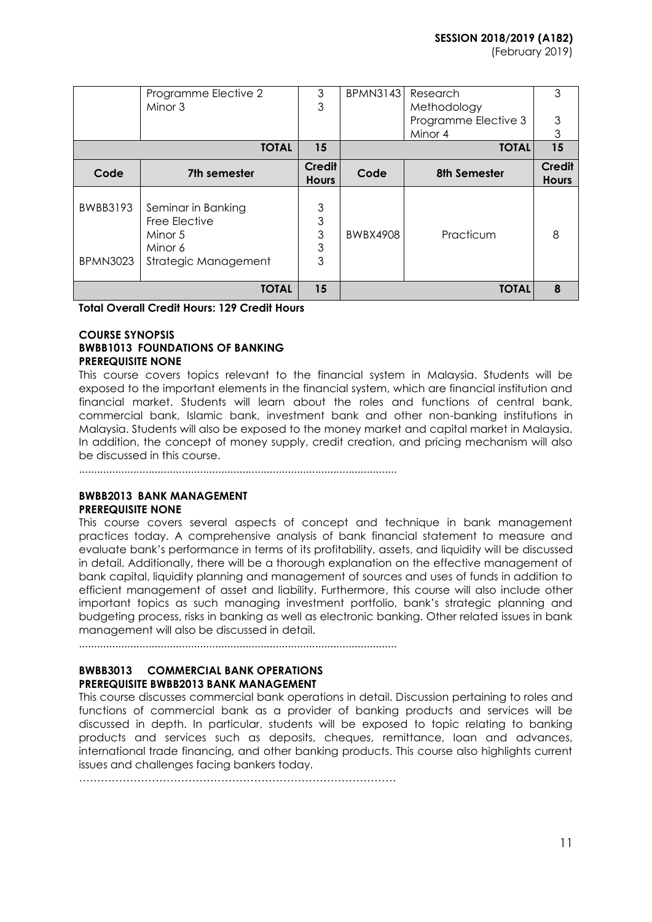|                             | Programme Elective 2<br>Minor 3                                                   | 3<br>3                                                                                                                                  | <b>BPMN3143</b> | Research<br>Methodology<br>Programme Elective 3<br>Minor 4 | 3<br>3<br>3            |
|-----------------------------|-----------------------------------------------------------------------------------|-----------------------------------------------------------------------------------------------------------------------------------------|-----------------|------------------------------------------------------------|------------------------|
|                             | <b>TOTAL</b>                                                                      | 15                                                                                                                                      |                 | <b>TOTAL</b>                                               | 15                     |
| Code                        | 7th semester                                                                      | Credit<br><b>Hours</b>                                                                                                                  | Code            | 8th Semester                                               | Credit<br><b>Hours</b> |
| BWBB3193<br><b>BPMN3023</b> | Seminar in Banking<br>Free Elective<br>Minor 5<br>Minor 6<br>Strategic Management | $\mathfrak{S}% _{A}^{\ast}=\mathfrak{S}_{A}\!\left( A;B\right) ,\ \mathfrak{S}_{A}\!\left( A;B\right)$<br>3<br>3<br>$\mathfrak{S}$<br>3 | <b>BWBX4908</b> | Practicum                                                  | 8                      |
|                             | <b>TOTAL</b>                                                                      | 15                                                                                                                                      |                 | <b>TOTAL</b>                                               | 8                      |

**Total Overall Credit Hours: 129 Credit Hours**

#### **COURSE SYNOPSIS BWBB1013 FOUNDATIONS OF BANKING PREREQUISITE NONE**

This course covers topics relevant to the financial system in Malaysia. Students will be exposed to the important elements in the financial system, which are financial institution and financial market. Students will learn about the roles and functions of central bank, commercial bank, Islamic bank, investment bank and other non-banking institutions in Malaysia. Students will also be exposed to the money market and capital market in Malaysia. In addition, the concept of money supply, credit creation, and pricing mechanism will also be discussed in this course.

.........................................................................................................

# **BWBB2013 BANK MANAGEMENT PREREQUISITE NONE**

This course covers several aspects of concept and technique in bank management practices today. A comprehensive analysis of bank financial statement to measure and evaluate bank's performance in terms of its profitability, assets, and liquidity will be discussed in detail. Additionally, there will be a thorough explanation on the effective management of bank capital, liquidity planning and management of sources and uses of funds in addition to efficient management of asset and liability. Furthermore, this course will also include other important topics as such managing investment portfolio, bank's strategic planning and budgeting process, risks in banking as well as electronic banking. Other related issues in bank management will also be discussed in detail.

.........................................................................................................

# **BWBB3013 COMMERCIAL BANK OPERATIONS PREREQUISITE BWBB2013 BANK MANAGEMENT**

This course discusses commercial bank operations in detail. Discussion pertaining to roles and functions of commercial bank as a provider of banking products and services will be discussed in depth. In particular, students will be exposed to topic relating to banking products and services such as deposits, cheques, remittance, loan and advances, international trade financing, and other banking products. This course also highlights current issues and challenges facing bankers today.

 $\mathcal{L}^{(n)}$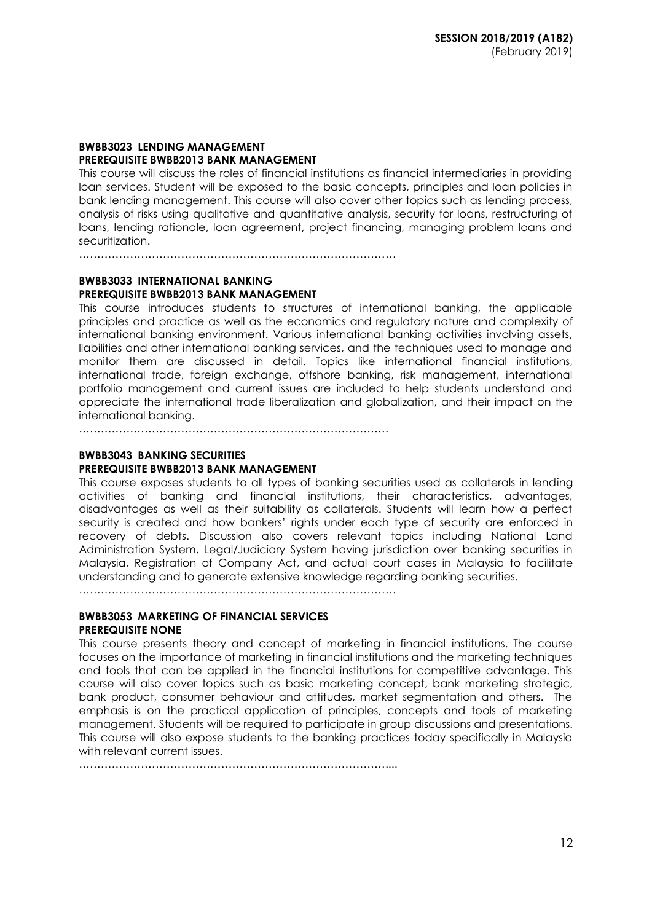#### **BWBB3023 LENDING MANAGEMENT PREREQUISITE BWBB2013 BANK MANAGEMENT**

This course will discuss the roles of financial institutions as financial intermediaries in providing loan services. Student will be exposed to the basic concepts, principles and loan policies in bank lending management. This course will also cover other topics such as lending process, analysis of risks using qualitative and quantitative analysis, security for loans, restructuring of loans, lending rationale, loan agreement, project financing, managing problem loans and securitization.

……………………………………………………………………………

# **BWBB3033 INTERNATIONAL BANKING PREREQUISITE BWBB2013 BANK MANAGEMENT**

This course introduces students to structures of international banking, the applicable principles and practice as well as the economics and regulatory nature and complexity of international banking environment. Various international banking activities involving assets, liabilities and other international banking services, and the techniques used to manage and monitor them are discussed in detail. Topics like international financial institutions, international trade, foreign exchange, offshore banking, risk management, international portfolio management and current issues are included to help students understand and appreciate the international trade liberalization and globalization, and their impact on the international banking.

………………………………………………………………………….

#### **BWBB3043 BANKING SECURITIES PREREQUISITE BWBB2013 BANK MANAGEMENT**

This course exposes students to all types of banking securities used as collaterals in lending activities of banking and financial institutions, their characteristics, advantages, disadvantages as well as their suitability as collaterals. Students will learn how a perfect security is created and how bankers' rights under each type of security are enforced in recovery of debts. Discussion also covers relevant topics including National Land Administration System, Legal/Judiciary System having jurisdiction over banking securities in Malaysia, Registration of Company Act, and actual court cases in Malaysia to facilitate understanding and to generate extensive knowledge regarding banking securities.

……………………………………………………………………………

# **BWBB3053 MARKETING OF FINANCIAL SERVICES PREREQUISITE NONE**

This course presents theory and concept of marketing in financial institutions. The course focuses on the importance of marketing in financial institutions and the marketing techniques and tools that can be applied in the financial institutions for competitive advantage. This course will also cover topics such as basic marketing concept, bank marketing strategic, bank product, consumer behaviour and attitudes, market segmentation and others. The emphasis is on the practical application of principles, concepts and tools of marketing management. Students will be required to participate in group discussions and presentations. This course will also expose students to the banking practices today specifically in Malaysia with relevant current issues.

…………………………………………………………………………....